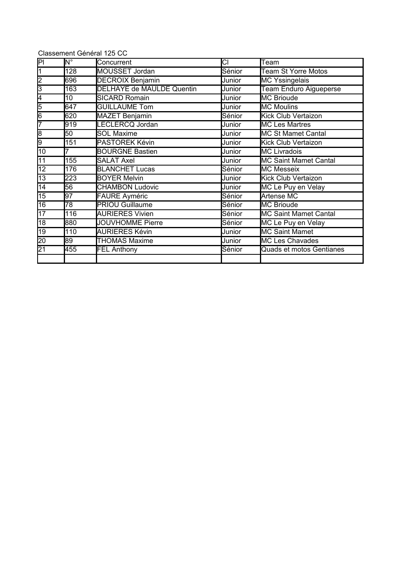|                                      |                               | Classement Général 125 CC        |        |                               |
|--------------------------------------|-------------------------------|----------------------------------|--------|-------------------------------|
| $\overline{\mathsf{PI}}$             | $\overline{\mathsf{N}^\circ}$ | Concurrent                       | СI     | Team                          |
| $\overline{1}$                       | 128                           | <b>MOUSSET Jordan</b>            | Sénior | <b>Team St Yorre Motos</b>    |
|                                      | 696                           | <b>DECROIX Benjamin</b>          | Junior | <b>MC Yssingelais</b>         |
| $\frac{1}{3}$                        | 163                           | <b>DELHAYE de MAULDE Quentin</b> | Junior | <b>Team Enduro Aigueperse</b> |
| 4                                    | 10                            | <b>SICARD Romain</b>             | Junior | <b>MC Brioude</b>             |
| 5                                    | 647                           | <b>GUILLAUME Tom</b>             | Junior | <b>MC Moulins</b>             |
| $\overline{6}$                       | 620                           | <b>MAZET Benjamin</b>            | Sénior | Kick Club Vertaizon           |
| 7                                    | 919                           | LECLERCQ Jordan                  | Junior | <b>MC Les Martres</b>         |
| $\overline{\overline{\overline{8}}}$ | 50                            | <b>SOL Maxime</b>                | Junior | <b>MC St Mamet Cantal</b>     |
| 9                                    | 151                           | PASTOREK Kévin                   | Junior | Kick Club Vertaizon           |
| 10                                   |                               | <b>BOURGNE Bastien</b>           | Junior | <b>MC Livradois</b>           |
| $\overline{11}$                      | 155                           | <b>SALAT Axel</b>                | Junior | <b>MC Saint Mamet Cantal</b>  |
| $\overline{12}$                      | 176                           | <b>BLANCHET Lucas</b>            | Sénior | <b>MC Messeix</b>             |
| $\overline{13}$                      | 223                           | <b>BOYER Melvin</b>              | Junior | Kick Club Vertaizon           |
| $\overline{14}$                      | $\overline{56}$               | <b>CHAMBON Ludovic</b>           | Junior | MC Le Puy en Velay            |
| $\overline{15}$                      | $\overline{97}$               | <b>FAURE</b> Ayméric             | Sénior | Artense MC                    |
| 16                                   | 78                            | <b>PRIOU Guillaume</b>           | Sénior | MC Brioude                    |
| 17                                   | 116                           | <b>AURIERES Vivien</b>           | Sénior | <b>MC Saint Mamet Cantal</b>  |
| 18                                   | 880                           | <b>JOUVHOMME Pierre</b>          | Sénior | MC Le Puy en Velay            |
| $\overline{19}$                      | 110                           | <b>AURIERES Kévin</b>            | Junior | <b>MC Saint Mamet</b>         |
| $\overline{20}$                      | 89                            | <b>THOMAS Maxime</b>             | Junior | <b>MC Les Chavades</b>        |
| $\overline{21}$                      | 455                           | <b>FEL Anthony</b>               | Sénior | Quads et motos Gentianes      |
|                                      |                               |                                  |        |                               |